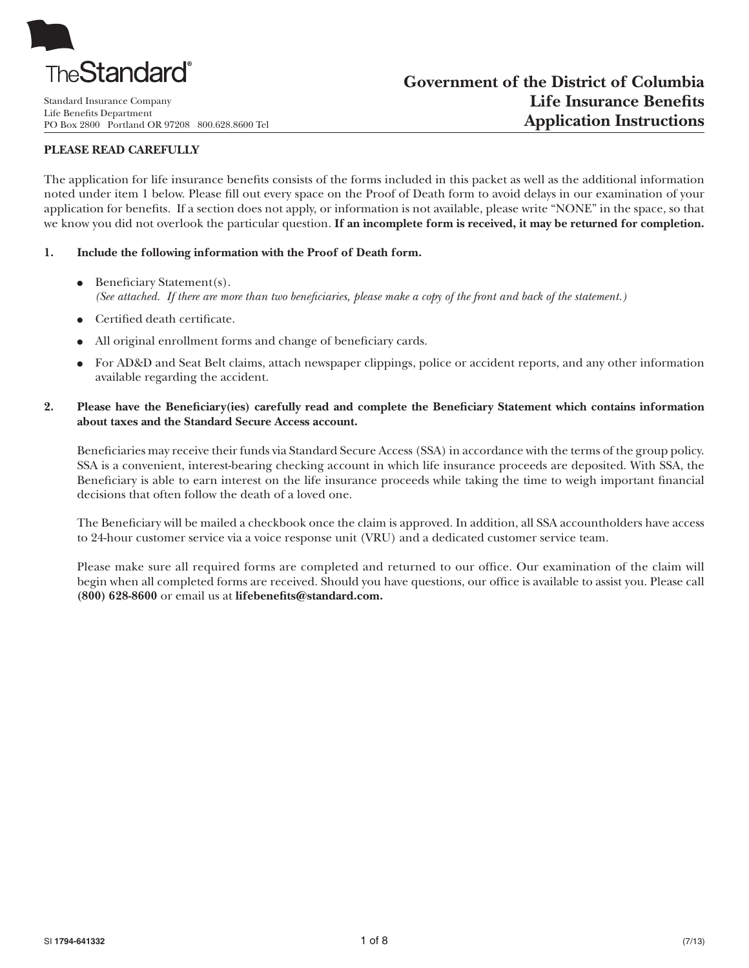

Standard Insurance Company Life Benefits Department PO Box 2800 Portland OR 97208 800.628.8600 Tel

#### **PLEASE READ CAREFULLY**

The application for life insurance benefits consists of the forms included in this packet as well as the additional information noted under item 1 below. Please fill out every space on the Proof of Death form to avoid delays in our examination of your application for benefits. If a section does not apply, or information is not available, please write "NONE" in the space, so that we know you did not overlook the particular question. **If an incomplete form is received, it may be returned for completion.**

#### **1. Include the following information with the Proof of Death form.**

- $\bullet$  Beneficiary Statement(s). *(See attached. If there are more than two beneficiaries, please make a copy of the front and back of the statement.)*
- Certified death certificate.
- All original enrollment forms and change of beneficiary cards.
- For AD&D and Seat Belt claims, attach newspaper clippings, police or accident reports, and any other information available regarding the accident.

#### 2. Please have the Beneficiary(ies) carefully read and complete the Beneficiary Statement which contains information  **about taxes and the Standard Secure Access account.**

Beneficiaries may receive their funds via Standard Secure Access (SSA) in accordance with the terms of the group policy. SSA is a convenient, interest-bearing checking account in which life insurance proceeds are deposited. With SSA, the Beneficiary is able to earn interest on the life insurance proceeds while taking the time to weigh important financial decisions that often follow the death of a loved one.

The Beneficiary will be mailed a checkbook once the claim is approved. In addition, all SSA accountholders have access to 24-hour customer service via a voice response unit (VRU) and a dedicated customer service team.

Please make sure all required forms are completed and returned to our office. Our examination of the claim will begin when all completed forms are received. Should you have questions, our office is available to assist you. Please call **(800) 628-8600** or email us at **lifebenefi ts@standard.com.**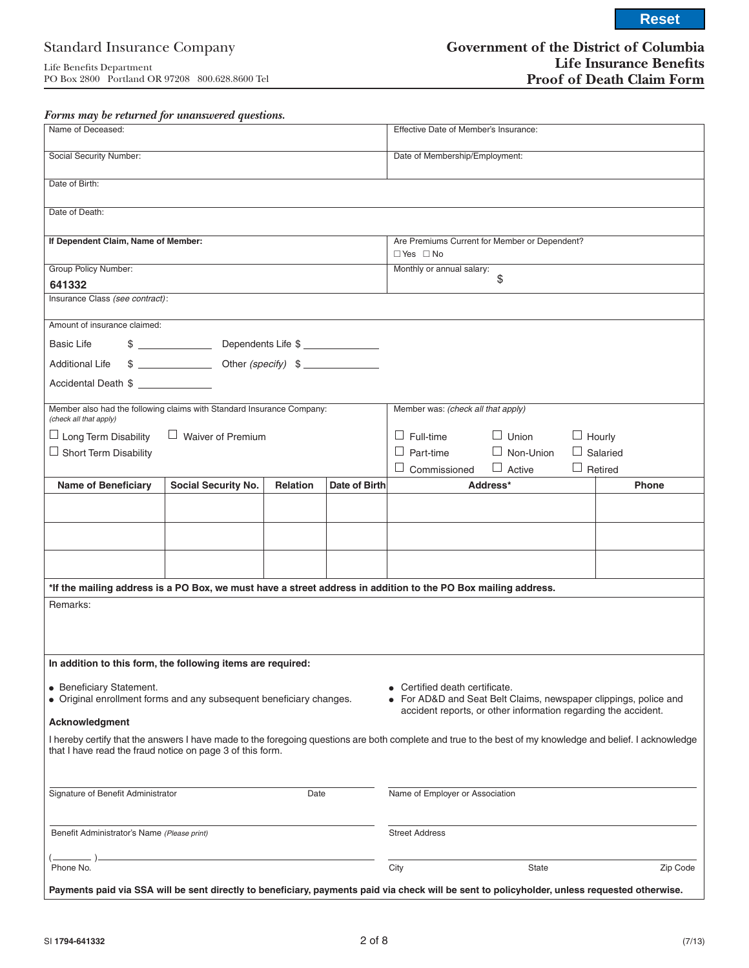**Reset**

### *Forms may be returned for unanswered questions.*

| Name of Deceased:                                                                                                                                                                                                                                                                       |                                                                                                                                                                                                                                                                                                                     |          |               | Effective Date of Member's Insurance:         |                  |               |                 |
|-----------------------------------------------------------------------------------------------------------------------------------------------------------------------------------------------------------------------------------------------------------------------------------------|---------------------------------------------------------------------------------------------------------------------------------------------------------------------------------------------------------------------------------------------------------------------------------------------------------------------|----------|---------------|-----------------------------------------------|------------------|---------------|-----------------|
|                                                                                                                                                                                                                                                                                         |                                                                                                                                                                                                                                                                                                                     |          |               |                                               |                  |               |                 |
| Social Security Number:                                                                                                                                                                                                                                                                 |                                                                                                                                                                                                                                                                                                                     |          |               | Date of Membership/Employment:                |                  |               |                 |
| Date of Birth:                                                                                                                                                                                                                                                                          |                                                                                                                                                                                                                                                                                                                     |          |               |                                               |                  |               |                 |
| Date of Death:                                                                                                                                                                                                                                                                          |                                                                                                                                                                                                                                                                                                                     |          |               |                                               |                  |               |                 |
| If Dependent Claim, Name of Member:                                                                                                                                                                                                                                                     |                                                                                                                                                                                                                                                                                                                     |          |               | Are Premiums Current for Member or Dependent? |                  |               |                 |
|                                                                                                                                                                                                                                                                                         |                                                                                                                                                                                                                                                                                                                     |          |               | $\Box$ Yes $\Box$ No                          |                  |               |                 |
| <b>Group Policy Number:</b>                                                                                                                                                                                                                                                             |                                                                                                                                                                                                                                                                                                                     |          |               | Monthly or annual salary:<br>\$               |                  |               |                 |
| 641332                                                                                                                                                                                                                                                                                  |                                                                                                                                                                                                                                                                                                                     |          |               |                                               |                  |               |                 |
| Insurance Class (see contract):                                                                                                                                                                                                                                                         |                                                                                                                                                                                                                                                                                                                     |          |               |                                               |                  |               |                 |
| Amount of insurance claimed:                                                                                                                                                                                                                                                            |                                                                                                                                                                                                                                                                                                                     |          |               |                                               |                  |               |                 |
| <b>Basic Life</b>                                                                                                                                                                                                                                                                       |                                                                                                                                                                                                                                                                                                                     |          |               |                                               |                  |               |                 |
| <b>Additional Life</b>                                                                                                                                                                                                                                                                  | $\frac{1}{2}$ $\frac{1}{2}$ $\frac{1}{2}$ $\frac{1}{2}$ $\frac{1}{2}$ $\frac{1}{2}$ $\frac{1}{2}$ $\frac{1}{2}$ $\frac{1}{2}$ $\frac{1}{2}$ $\frac{1}{2}$ $\frac{1}{2}$ $\frac{1}{2}$ $\frac{1}{2}$ $\frac{1}{2}$ $\frac{1}{2}$ $\frac{1}{2}$ $\frac{1}{2}$ $\frac{1}{2}$ $\frac{1}{2}$ $\frac{1}{2}$ $\frac{1}{2}$ |          |               |                                               |                  |               |                 |
| Accidental Death \$                                                                                                                                                                                                                                                                     |                                                                                                                                                                                                                                                                                                                     |          |               |                                               |                  |               |                 |
| Member also had the following claims with Standard Insurance Company:<br>(check all that apply)                                                                                                                                                                                         |                                                                                                                                                                                                                                                                                                                     |          |               | Member was: (check all that apply)            |                  |               |                 |
| $\Box$ Waiver of Premium<br>$\Box$ Long Term Disability                                                                                                                                                                                                                                 |                                                                                                                                                                                                                                                                                                                     |          |               | $\Box$ Full-time                              | $\Box$ Union     | $\Box$ Hourly |                 |
| $\Box$ Short Term Disability                                                                                                                                                                                                                                                            |                                                                                                                                                                                                                                                                                                                     |          |               | $\Box$ Part-time                              | $\Box$ Non-Union |               | $\Box$ Salaried |
|                                                                                                                                                                                                                                                                                         |                                                                                                                                                                                                                                                                                                                     |          |               | $\Box$ Commissioned                           | $\Box$ Active    |               | $\Box$ Retired  |
| <b>Name of Beneficiary</b>                                                                                                                                                                                                                                                              | <b>Social Security No.</b>                                                                                                                                                                                                                                                                                          | Relation | Date of Birth |                                               | Address*         | <b>Phone</b>  |                 |
|                                                                                                                                                                                                                                                                                         |                                                                                                                                                                                                                                                                                                                     |          |               |                                               |                  |               |                 |
|                                                                                                                                                                                                                                                                                         |                                                                                                                                                                                                                                                                                                                     |          |               |                                               |                  |               |                 |
|                                                                                                                                                                                                                                                                                         |                                                                                                                                                                                                                                                                                                                     |          |               |                                               |                  |               |                 |
|                                                                                                                                                                                                                                                                                         |                                                                                                                                                                                                                                                                                                                     |          |               |                                               |                  |               |                 |
| *If the mailing address is a PO Box, we must have a street address in addition to the PO Box mailing address.                                                                                                                                                                           |                                                                                                                                                                                                                                                                                                                     |          |               |                                               |                  |               |                 |
| Remarks:                                                                                                                                                                                                                                                                                |                                                                                                                                                                                                                                                                                                                     |          |               |                                               |                  |               |                 |
| In addition to this form, the following items are required:                                                                                                                                                                                                                             |                                                                                                                                                                                                                                                                                                                     |          |               |                                               |                  |               |                 |
| • Beneficiary Statement.<br>• Certified death certificate.<br>• Original enrollment forms and any subsequent beneficiary changes.<br>For AD&D and Seat Belt Claims, newspaper clippings, police and<br>accident reports, or other information regarding the accident.<br>Acknowledgment |                                                                                                                                                                                                                                                                                                                     |          |               |                                               |                  |               |                 |
| I hereby certify that the answers I have made to the foregoing questions are both complete and true to the best of my knowledge and belief. I acknowledge<br>that I have read the fraud notice on page 3 of this form.                                                                  |                                                                                                                                                                                                                                                                                                                     |          |               |                                               |                  |               |                 |
|                                                                                                                                                                                                                                                                                         |                                                                                                                                                                                                                                                                                                                     |          |               |                                               |                  |               |                 |
| Signature of Benefit Administrator<br>Date                                                                                                                                                                                                                                              |                                                                                                                                                                                                                                                                                                                     |          |               | Name of Employer or Association               |                  |               |                 |
| Benefit Administrator's Name (Please print)                                                                                                                                                                                                                                             | <b>Street Address</b>                                                                                                                                                                                                                                                                                               |          |               |                                               |                  |               |                 |
| Phone No.                                                                                                                                                                                                                                                                               |                                                                                                                                                                                                                                                                                                                     |          |               | City                                          | State            |               | Zip Code        |
| Payments paid via SSA will be sent directly to beneficiary, payments paid via check will be sent to policyholder, unless requested otherwise.                                                                                                                                           |                                                                                                                                                                                                                                                                                                                     |          |               |                                               |                  |               |                 |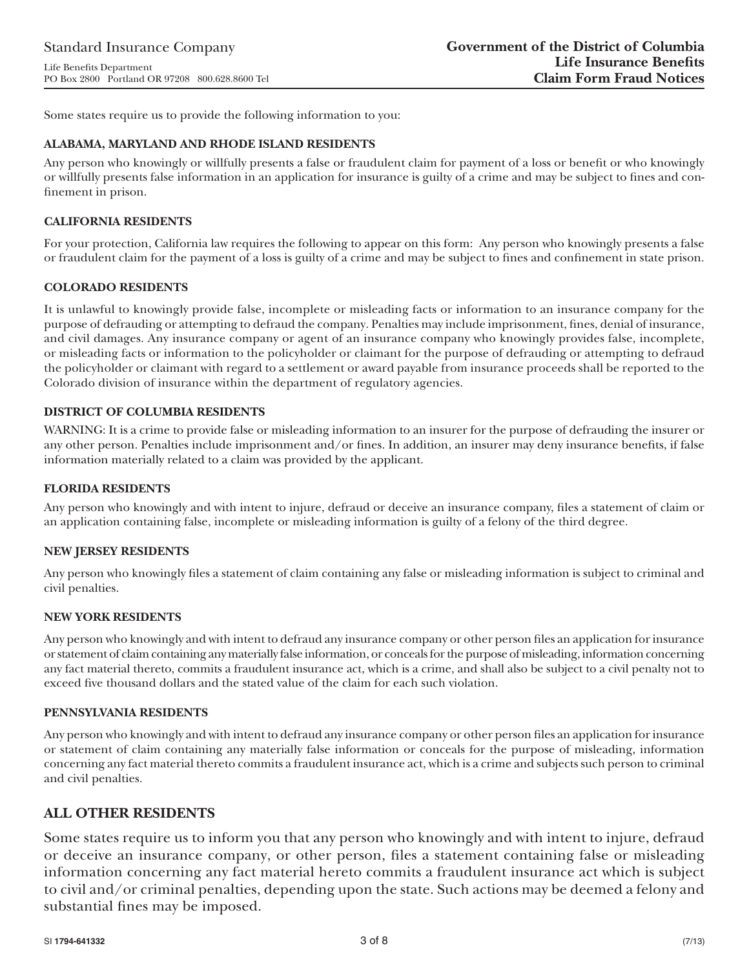Some states require us to provide the following information to you:

#### **ALABAMA, MARYLAND AND RHODE ISLAND RESIDENTS**

Any person who knowingly or willfully presents a false or fraudulent claim for payment of a loss or benefit or who knowingly or willfully presents false information in an application for insurance is guilty of a crime and may be subject to fines and confinement in prison.

#### **CALIFORNIA RESIDENTS**

For your protection, California law requires the following to appear on this form: Any person who knowingly presents a false or fraudulent claim for the payment of a loss is guilty of a crime and may be subject to fines and confinement in state prison.

#### **COLORADO RESIDENTS**

It is unlawful to knowingly provide false, incomplete or misleading facts or information to an insurance company for the purpose of defrauding or attempting to defraud the company. Penalties may include imprisonment, fines, denial of insurance, and civil damages. Any insurance company or agent of an insurance company who knowingly provides false, incomplete, or misleading facts or information to the policyholder or claimant for the purpose of defrauding or attempting to defraud the policyholder or claimant with regard to a settlement or award payable from insurance proceeds shall be reported to the Colorado division of insurance within the department of regulatory agencies.

#### **DISTRICT OF COLUMBIA RESIDENTS**

WARNING: It is a crime to provide false or misleading information to an insurer for the purpose of defrauding the insurer or any other person. Penalties include imprisonment and/or fines. In addition, an insurer may deny insurance benefits, if false information materially related to a claim was provided by the applicant.

#### **FLORIDA RESIDENTS**

Any person who knowingly and with intent to injure, defraud or deceive an insurance company, files a statement of claim or an application containing false, incomplete or misleading information is guilty of a felony of the third degree.

#### **NEW JERSEY RESIDENTS**

Any person who knowingly files a statement of claim containing any false or misleading information is subject to criminal and civil penalties.

#### **NEW YORK RESIDENTS**

Any person who knowingly and with intent to defraud any insurance company or other person files an application for insurance or statement of claim containing any materially false information, or conceals for the purpose of misleading, information concerning any fact material thereto, commits a fraudulent insurance act, which is a crime, and shall also be subject to a civil penalty not to exceed five thousand dollars and the stated value of the claim for each such violation.

#### **PENNSYLVANIA RESIDENTS**

Any person who knowingly and with intent to defraud any insurance company or other person files an application for insurance or statement of claim containing any materially false information or conceals for the purpose of misleading, information concerning any fact material thereto commits a fraudulent insurance act, which is a crime and subjects such person to criminal and civil penalties.

## **ALL OTHER RESIDENTS**

Some states require us to inform you that any person who knowingly and with intent to injure, defraud or deceive an insurance company, or other person, files a statement containing false or misleading information concerning any fact material hereto commits a fraudulent insurance act which is subject to civil and/or criminal penalties, depending upon the state. Such actions may be deemed a felony and substantial fines may be imposed.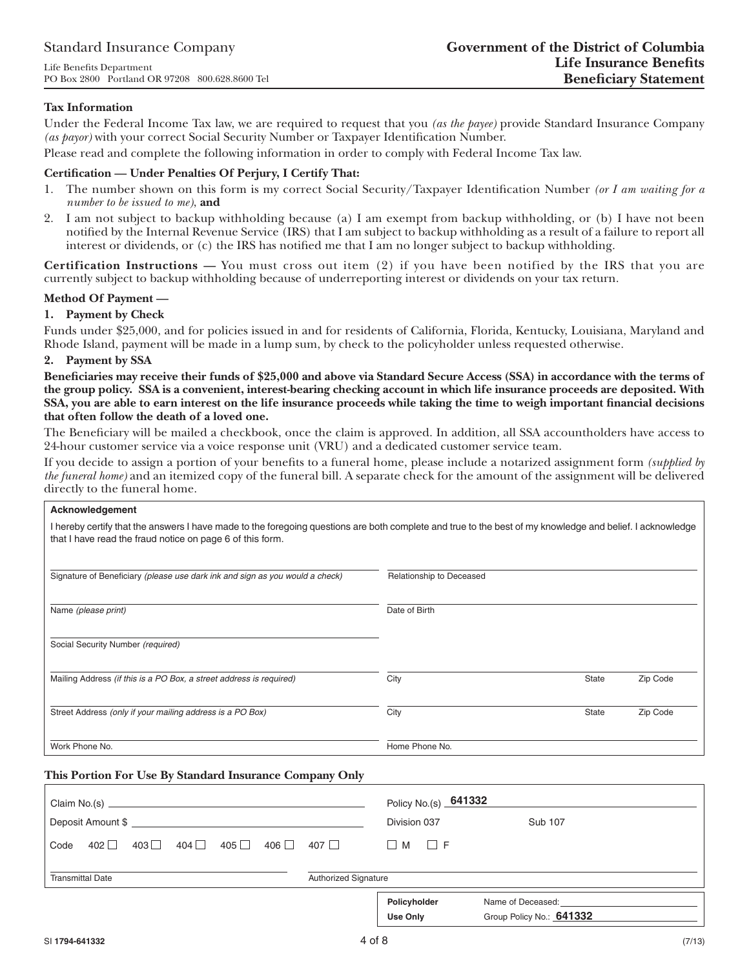#### **Tax Information**

Under the Federal Income Tax law, we are required to request that you *(as the payee)* provide Standard Insurance Company *(as payor)* with your correct Social Security Number or Taxpayer Identification Number.

Please read and complete the following information in order to comply with Federal Income Tax law.

#### Certification — Under Penalties Of Perjury, I Certify That:

- 1. The number shown on this form is my correct Social Security/Taxpayer Identification Number *(or I am waiting for a number to be issued to me)*, **and**
- 2. I am not subject to backup withholding because (a) I am exempt from backup withholding, or (b) I have not been notified by the Internal Revenue Service (IRS) that I am subject to backup withholding as a result of a failure to report all interest or dividends, or (c) the IRS has notified me that I am no longer subject to backup withholding.

**Certification Instructions —** You must cross out item (2) if you have been notified by the IRS that you are currently subject to backup withholding because of underreporting interest or dividends on your tax return.

#### **Method Of Payment —**

#### **1. Payment by Check**

Funds under \$25,000, and for policies issued in and for residents of California, Florida, Kentucky, Louisiana, Maryland and Rhode Island, payment will be made in a lump sum, by check to the policyholder unless requested otherwise.

#### **2. Payment by SSA**

Beneficiaries may receive their funds of \$25,000 and above via Standard Secure Access (SSA) in accordance with the terms of **the group policy. SSA is a convenient, interest-bearing checking account in which life insurance proceeds are deposited. With**  SSA, you are able to earn interest on the life insurance proceeds while taking the time to weigh important financial decisions **that often follow the death of a loved one.**

The Beneficiary will be mailed a checkbook, once the claim is approved. In addition, all SSA accountholders have access to 24-hour customer service via a voice response unit (VRU) and a dedicated customer service team.

If you decide to assign a portion of your benefits to a funeral home, please include a notarized assignment form *(supplied by the funeral home)* and an itemized copy of the funeral bill. A separate check for the amount of the assignment will be delivered directly to the funeral home.

| Acknowledgement                                                                                                                                                                                                        |                             |                                               |          |  |  |
|------------------------------------------------------------------------------------------------------------------------------------------------------------------------------------------------------------------------|-----------------------------|-----------------------------------------------|----------|--|--|
| I hereby certify that the answers I have made to the foregoing questions are both complete and true to the best of my knowledge and belief. I acknowledge<br>that I have read the fraud notice on page 6 of this form. |                             |                                               |          |  |  |
| Signature of Beneficiary (please use dark ink and sign as you would a check)                                                                                                                                           | Relationship to Deceased    |                                               |          |  |  |
| Name (please print)                                                                                                                                                                                                    | Date of Birth               |                                               |          |  |  |
| Social Security Number (required)                                                                                                                                                                                      |                             |                                               |          |  |  |
| Mailing Address (if this is a PO Box, a street address is required)                                                                                                                                                    | City                        | <b>State</b>                                  | Zip Code |  |  |
| Street Address (only if your mailing address is a PO Box)                                                                                                                                                              | City                        | State                                         | Zip Code |  |  |
| Work Phone No.                                                                                                                                                                                                         | Home Phone No.              |                                               |          |  |  |
| This Portion For Use By Standard Insurance Company Only                                                                                                                                                                |                             |                                               |          |  |  |
|                                                                                                                                                                                                                        | Policy No.(s) 641332        |                                               |          |  |  |
|                                                                                                                                                                                                                        | Division 037                | <b>Sub 107</b>                                |          |  |  |
| $402$ $\Box$ $403$ $\Box$ $404$ $\Box$ $405$ $\Box$ $406$ $\Box$ $407$ $\Box$<br>Code                                                                                                                                  | $\Box$ M $\Box$ F           |                                               |          |  |  |
| <b>Transmittal Date</b>                                                                                                                                                                                                | <b>Authorized Signature</b> |                                               |          |  |  |
|                                                                                                                                                                                                                        | Policyholder<br>Use Only    | Name of Deceased:<br>Group Policy No.: 641332 |          |  |  |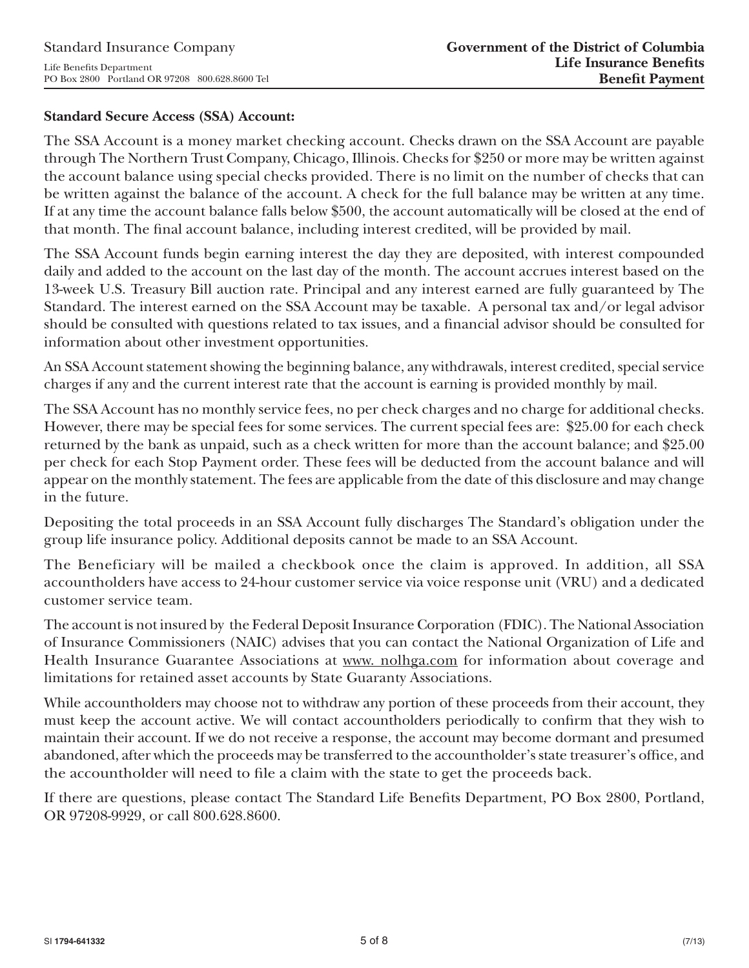## **Standard Secure Access (SSA) Account:**

The SSA Account is a money market checking account. Checks drawn on the SSA Account are payable through The Northern Trust Company, Chicago, Illinois. Checks for \$250 or more may be written against the account balance using special checks provided. There is no limit on the number of checks that can be written against the balance of the account. A check for the full balance may be written at any time. If at any time the account balance falls below \$500, the account automatically will be closed at the end of that month. The final account balance, including interest credited, will be provided by mail.

The SSA Account funds begin earning interest the day they are deposited, with interest compounded daily and added to the account on the last day of the month. The account accrues interest based on the 13-week U.S. Treasury Bill auction rate. Principal and any interest earned are fully guaranteed by The Standard. The interest earned on the SSA Account may be taxable. A personal tax and/or legal advisor should be consulted with questions related to tax issues, and a financial advisor should be consulted for information about other investment opportunities.

An SSA Account statement showing the beginning balance, any withdrawals, interest credited, special service charges if any and the current interest rate that the account is earning is provided monthly by mail.

The SSA Account has no monthly service fees, no per check charges and no charge for additional checks. However, there may be special fees for some services. The current special fees are: \$25.00 for each check returned by the bank as unpaid, such as a check written for more than the account balance; and \$25.00 per check for each Stop Payment order. These fees will be deducted from the account balance and will appear on the monthly statement. The fees are applicable from the date of this disclosure and may change in the future.

Depositing the total proceeds in an SSA Account fully discharges The Standard's obligation under the group life insurance policy. Additional deposits cannot be made to an SSA Account.

The Beneficiary will be mailed a checkbook once the claim is approved. In addition, all SSA accountholders have access to 24-hour customer service via voice response unit (VRU) and a dedicated customer service team.

The account is not insured by the Federal Deposit Insurance Corporation (FDIC). The National Association of Insurance Commissioners (NAIC) advises that you can contact the National Organization of Life and Health Insurance Guarantee Associations at www. nolhga.com for information about coverage and limitations for retained asset accounts by State Guaranty Associations.

While accountholders may choose not to withdraw any portion of these proceeds from their account, they must keep the account active. We will contact accountholders periodically to confirm that they wish to maintain their account. If we do not receive a response, the account may become dormant and presumed abandoned, after which the proceeds may be transferred to the accountholder's state treasurer's office, and the accountholder will need to file a claim with the state to get the proceeds back.

If there are questions, please contact The Standard Life Benefits Department, PO Box 2800, Portland, OR 97208-9929, or call 800.628.8600.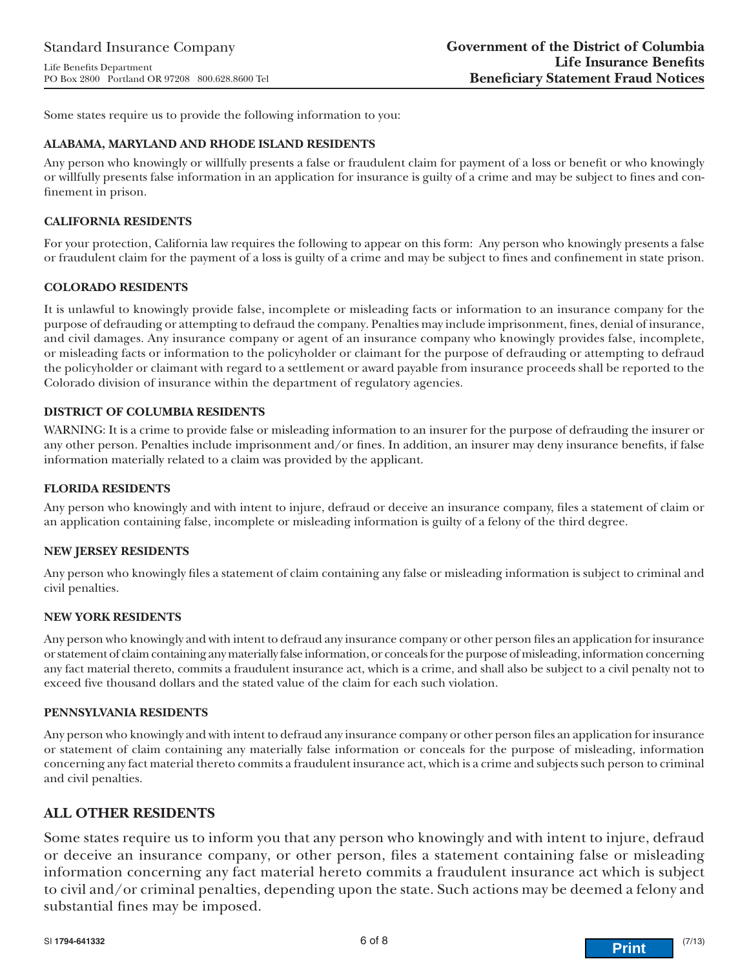Some states require us to provide the following information to you:

#### **ALABAMA, MARYLAND AND RHODE ISLAND RESIDENTS**

Any person who knowingly or willfully presents a false or fraudulent claim for payment of a loss or benefit or who knowingly or willfully presents false information in an application for insurance is guilty of a crime and may be subject to fines and confinement in prison.

#### **CALIFORNIA RESIDENTS**

For your protection, California law requires the following to appear on this form: Any person who knowingly presents a false or fraudulent claim for the payment of a loss is guilty of a crime and may be subject to fines and confinement in state prison.

#### **COLORADO RESIDENTS**

It is unlawful to knowingly provide false, incomplete or misleading facts or information to an insurance company for the purpose of defrauding or attempting to defraud the company. Penalties may include imprisonment, fines, denial of insurance, and civil damages. Any insurance company or agent of an insurance company who knowingly provides false, incomplete, or misleading facts or information to the policyholder or claimant for the purpose of defrauding or attempting to defraud the policyholder or claimant with regard to a settlement or award payable from insurance proceeds shall be reported to the Colorado division of insurance within the department of regulatory agencies.

#### **DISTRICT OF COLUMBIA RESIDENTS**

WARNING: It is a crime to provide false or misleading information to an insurer for the purpose of defrauding the insurer or any other person. Penalties include imprisonment and/or fines. In addition, an insurer may deny insurance benefits, if false information materially related to a claim was provided by the applicant.

#### **FLORIDA RESIDENTS**

Any person who knowingly and with intent to injure, defraud or deceive an insurance company, files a statement of claim or an application containing false, incomplete or misleading information is guilty of a felony of the third degree.

#### **NEW JERSEY RESIDENTS**

Any person who knowingly files a statement of claim containing any false or misleading information is subject to criminal and civil penalties.

#### **NEW YORK RESIDENTS**

Any person who knowingly and with intent to defraud any insurance company or other person files an application for insurance or statement of claim containing any materially false information, or conceals for the purpose of misleading, information concerning any fact material thereto, commits a fraudulent insurance act, which is a crime, and shall also be subject to a civil penalty not to exceed five thousand dollars and the stated value of the claim for each such violation.

#### **PENNSYLVANIA RESIDENTS**

Any person who knowingly and with intent to defraud any insurance company or other person files an application for insurance or statement of claim containing any materially false information or conceals for the purpose of misleading, information concerning any fact material thereto commits a fraudulent insurance act, which is a crime and subjects such person to criminal and civil penalties.

## **ALL OTHER RESIDENTS**

Some states require us to inform you that any person who knowingly and with intent to injure, defraud or deceive an insurance company, or other person, files a statement containing false or misleading information concerning any fact material hereto commits a fraudulent insurance act which is subject to civil and/or criminal penalties, depending upon the state. Such actions may be deemed a felony and substantial fines may be imposed.

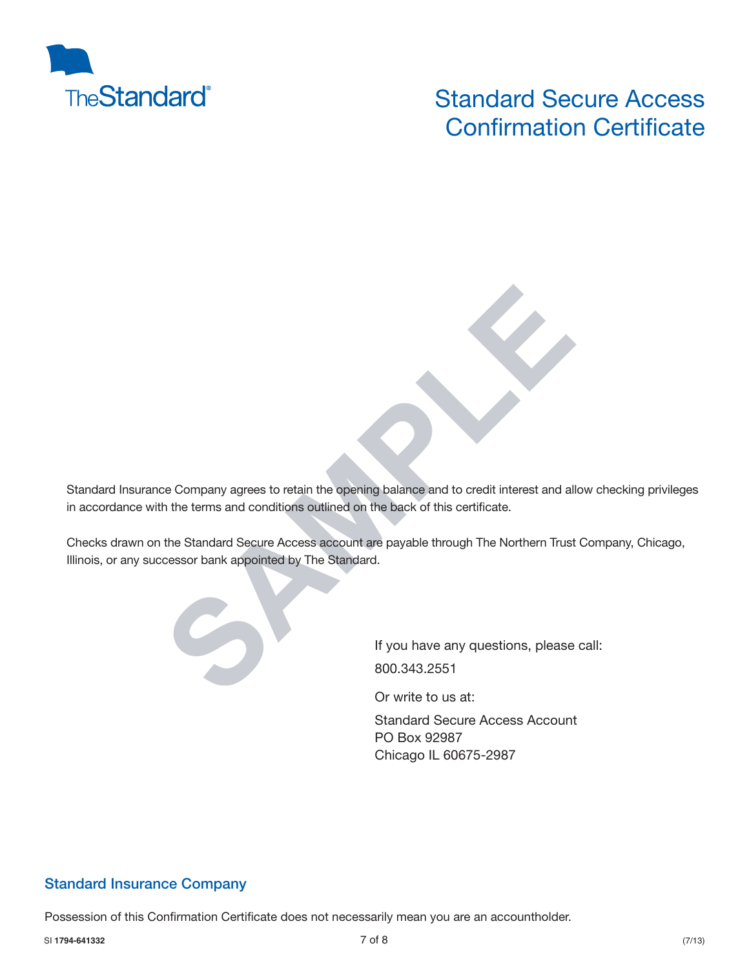

# Standard Secure Access **Confirmation Certificate**

Standard Insurance Company agrees to retain the opening balance and to credit interest and allow checking privileges in accordance with the terms and conditions outlined on the back of this certificate.

Checks drawn on the Standard Secure Access account are payable through The Northern Trust Company, Chicago, Illinois, or any successor bank appointed by The Standard.



Or write to us at:

Standard Secure Access Account PO Box 92987 Chicago IL 60675-2987

## **Standard Insurance Company**

Possession of this Confirmation Certificate does not necessarily mean you are an accountholder.